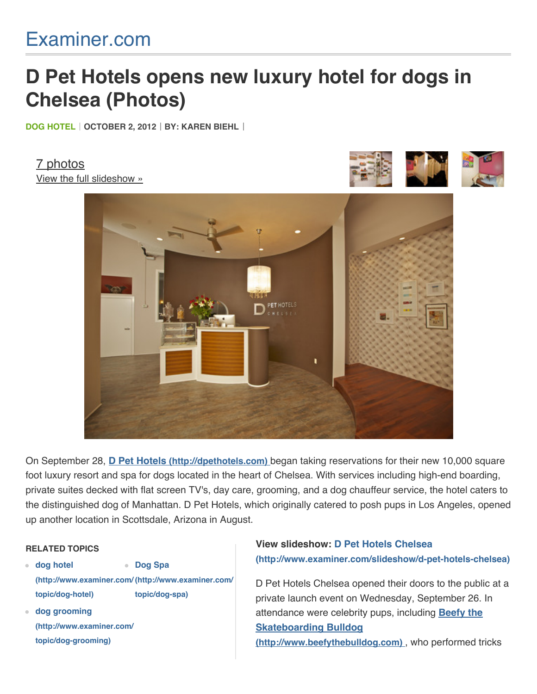## [Examiner.com](http://www.examiner.com/?cid=PROG-Logo)

# **D Pet Hotels opens new luxury hotel for dogs in Chelsea (Photos)**

**[DOG HOTEL](http://www.examiner.com/topic/dog-hotel) OCTOBER 2, 2012 BY: [KAREN BIEHL](http://www.examiner.com/celebrity-dog-in-new-york/karen-biehl)**

[7 photos](http://www.examiner.com/slideshow/d-pet-hotels-chelsea) [View the full slideshow »](http://www.examiner.com/slideshow/d-pet-hotels-chelsea)





On September 28, **[D Pet Hotels \(http://dpethotels.com\)](http://dpethotels.com/)** began taking reservations for their new 10,000 square foot luxury resort and spa for dogs located in the heart of Chelsea. With services including high-end boarding, private suites decked with flat screen TV's, day care, grooming, and a dog chauffeur service, the hotel caters to the distinguished dog of Manhattan. D Pet Hotels, which originally catered to posh pups in Los Angeles, opened up another location in Scottsdale, Arizona in August.

#### **RELATED TOPICS**

- **dog hotel [\(http://www.examiner.com/](http://www.examiner.com/topic/dog-hotel) [\(http://www.examiner.com/](http://www.examiner.com/topic/dog-spa) topic/dog-hotel) Dog Spa topic/dog-spa)**
- **dog grooming [\(http://www.examiner.com/](http://www.examiner.com/topic/dog-grooming) topic/dog-grooming)**

### **View slideshow: D Pet Hotels Chelsea [\(http://www.examiner.com/slideshow/d-pet-hotels-chelsea\)](http://www.examiner.com/slideshow/d-pet-hotels-chelsea)**

D Pet Hotels Chelsea opened their doors to the public at a private launch event on Wednesday, September 26. In [attendance were celebrity pups, including](http://www.beefythebulldog.com/) **Beefy the Skateboarding Bulldog (http://www.beefythebulldog.com)** , who performed tricks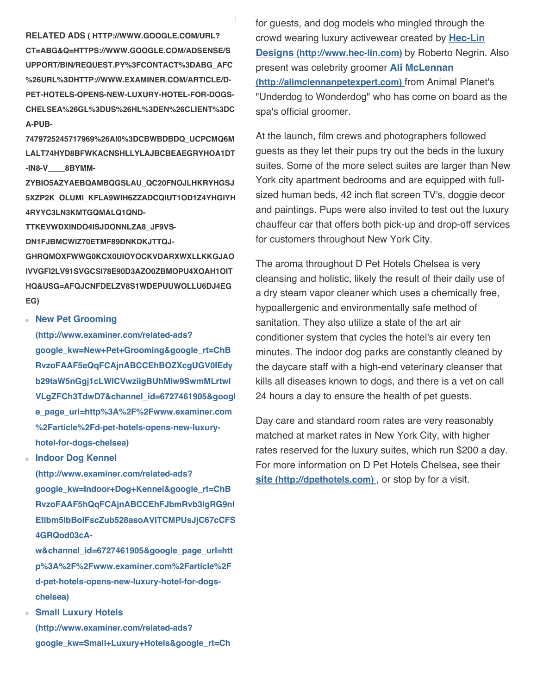**[RELATED ADS \( HTTP://WWW.GOOGLE.COM/URL?](http://www.google.com/url?ct=abg&q=https://www.google.com/adsense/support/bin/request.py%3Fcontact%3Dabg_afc%26url%3Dhttp://www.examiner.com/article/d-pet-hotels-opens-new-luxury-hotel-for-dogs-chelsea%26gl%3DUS%26hl%3Den%26client%3Dca-pub-7479725245717969%26ai0%3DCbwBdBDq_UcPCMq6MlALT74HYD8bFwKACnsHllyLAjbcBEAEgrYHOA1Dt-In8-v____8BYMm-zYbIo5AZyAEBqAMBqgSlAU_Qc20FnoJlHKrYHGsJ5XZP2K_olUMi_kfla9wih6ZzADCqIUt1od1z4YhgIyH4rYYc3ln3KMTgqmaLq1Qnd-TTkevWdxiNdo4isjDoNnLZA8_jf9Vs-dn1fjBmCWiZ70eTMf89dNkdkJTTQj-GhrQMoxFwwg0kcx0UIOyOCkvdArXWxLLKKGjAoivvGfI2lv91sVgCsi78e90d3Azo0ZBMOpu4xoAH1oiTHQ&usg=AFQjCNFdElzv8s1wDEPUuwollu6dJ4egeg) CT=ABG&Q=HTTPS://WWW.GOOGLE.COM/ADSENSE/S UPPORT/BIN/REQUEST.PY%3FCONTACT%3DABG\_AFC %26URL%3DHTTP://WWW.EXAMINER.COM/ARTICLE/D-PET-HOTELS-OPENS-NEW-LUXURY-HOTEL-FOR-DOGS-CHELSEA%26GL%3DUS%26HL%3DEN%26CLIENT%3DC A-PUB-**

**7479725245717969%26AI0%3DCBWBDBDQ\_UCPCMQ6M LALT74HYD8BFWKACNSHLLYLAJBCBEAEGRYHOA1DT -IN8-V\_\_\_\_8BYMM-**

**ZYBIO5AZYAEBQAMBQGSLAU\_QC20FNOJLHKRYHGSJ 5XZP2K\_OLUMI\_KFLA9WIH6ZZADCQIUT1OD1Z4YHGIYH 4RYYC3LN3KMTGQMALQ1QND-**

**TTKEVWDXINDO4ISJDONNLZA8\_JF9VS-**

**DN1FJBMCWIZ70ETMF89DNKDKJTTQJ-**

**GHRQMOXFWWG0KCX0UIOYOCKVDARXWXLLKKGJAO IVVGFI2LV91SVGCSI78E90D3AZO0ZBMOPU4XOAH1OIT HQ&USG=AFQJCNFDELZV8S1WDEPUUWOLLU6DJ4EG EG)**

#### **New Pet Grooming**

**(http://www.examiner.com/related-ads? google\_kw=New+Pet+Grooming&google\_rt=ChB RvzoFAAF5eQqFCAjnABCCEhBOZXcgUGV0IEdy b29taW5nGgj1cLWlCVwziigBUhMIw9SwmMLrtwI [VLgZFCh3TdwD7&channel\\_id=6727461905&googl](http://www.examiner.com/related-ads?google_kw=New+Pet+Grooming&google_rt=ChBRvzoFAAF5eQqFCAjnABCCEhBOZXcgUGV0IEdyb29taW5nGgj1cLWlCVwziigBUhMIw9SwmMLrtwIVLgZFCh3TdwD7&channel_id=6727461905&google_page_url=http%3A%2F%2Fwww.examiner.com%2Farticle%2Fd-pet-hotels-opens-new-luxury-hotel-for-dogs-chelsea) e\_page\_url=http%3A%2F%2Fwww.examiner.com %2Farticle%2Fd-pet-hotels-opens-new-luxuryhotel-for-dogs-chelsea)**

**Indoor Dog Kennel**

**(http://www.examiner.com/related-ads? google\_kw=Indoor+Dog+Kennel&google\_rt=ChB RvzoFAAF5hQqFCAjnABCCEhFJbmRvb3IgRG9nI [Etlbm5lbBoIFscZub528asoAVITCMPUsJjC67cCFS](http://www.examiner.com/related-ads?google_kw=Indoor+Dog+Kennel&google_rt=ChBRvzoFAAF5hQqFCAjnABCCEhFJbmRvb3IgRG9nIEtlbm5lbBoIFscZub528asoAVITCMPUsJjC67cCFS4GRQod03cA-w&channel_id=6727461905&google_page_url=http%3A%2F%2Fwww.examiner.com%2Farticle%2Fd-pet-hotels-opens-new-luxury-hotel-for-dogs-chelsea) 4GRQod03cA-**

**w&channel\_id=6727461905&google\_page\_url=htt p%3A%2F%2Fwww.examiner.com%2Farticle%2F d-pet-hotels-opens-new-luxury-hotel-for-dogschelsea)**

**Small Luxury Hotels (http://www.examiner.com/related-ads? [google\\_kw=Small+Luxury+Hotels&google\\_rt=Ch](http://www.examiner.com/related-ads?google_kw=Small+Luxury+Hotels&google_rt=ChBRvzoFAAF5iAqFCAjnABCCEhNTbWFsbCBMdXh1cnkgSG90ZWxzGgjCZ5yVtxhPRigBMAJSEwjD1LCYwuu3AhUuBkUKHdN3APs&channel_id=6727461905&google_page_url=http%3A%2F%2Fwww.examiner.com%2Farticle%2Fd-pet-hotels-opens-new-luxury-hotel-for-dogs-chelsea)** for guests, and dog models who mingled through the [crowd wearing luxury activewear created by](http://www.hec-lin.com/) **Hec-Lin Designs (http://www.hec-lin.com)** by Roberto Negrin. Also present was celebrity groomer **Ali McLennan [\(http://alimclennanpetexpert.com\)](http://alimclennanpetexpert.com/)** from Animal Planet's "Underdog to Wonderdog" who has come on board as the spa's official groomer.

At the launch, film crews and photographers followed guests as they let their pups try out the beds in the luxury suites. Some of the more select suites are larger than New York city apartment bedrooms and are equipped with fullsized human beds, 42 inch flat screen TV's, doggie decor and paintings. Pups were also invited to test out the luxury chauffeur car that offers both pick-up and drop-off services for customers throughout New York City.

The aroma throughout D Pet Hotels Chelsea is very cleansing and holistic, likely the result of their daily use of a dry steam vapor cleaner which uses a chemically free, hypoallergenic and environmentally safe method of sanitation. They also utilize a state of the art air conditioner system that cycles the hotel's air every ten minutes. The indoor dog parks are constantly cleaned by the daycare staff with a high-end veterinary cleanser that kills all diseases known to dogs, and there is a vet on call 24 hours a day to ensure the health of pet guests.

Day care and standard room rates are very reasonably matched at market rates in New York City, with higher rates reserved for the luxury suites, which run \$200 a day. For more information on D Pet Hotels Chelsea, see their **[site \(http://dpethotels.com\)](http://dpethotels.com/)** , or stop by for a visit.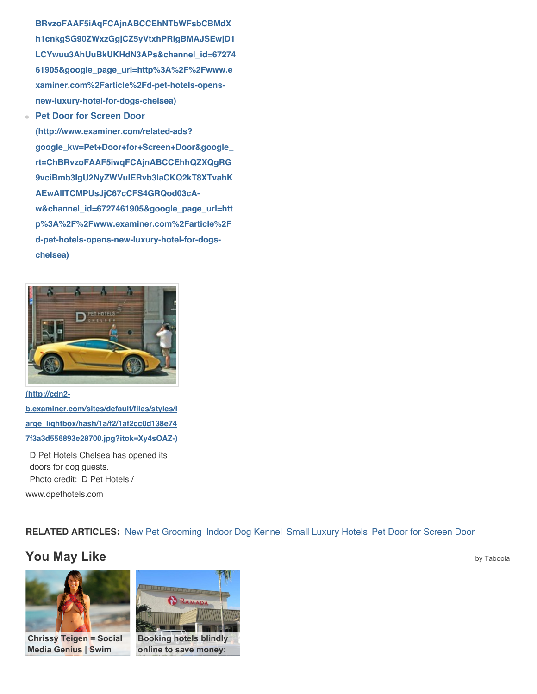**BRvzoFAAF5iAqFCAjnABCCEhNTbWFsbCBMdX h1cnkgSG90ZWxzGgjCZ5yVtxhPRigBMAJSEwjD1 [LCYwuu3AhUuBkUKHdN3APs&channel\\_id=67274](http://www.examiner.com/related-ads?google_kw=Small+Luxury+Hotels&google_rt=ChBRvzoFAAF5iAqFCAjnABCCEhNTbWFsbCBMdXh1cnkgSG90ZWxzGgjCZ5yVtxhPRigBMAJSEwjD1LCYwuu3AhUuBkUKHdN3APs&channel_id=6727461905&google_page_url=http%3A%2F%2Fwww.examiner.com%2Farticle%2Fd-pet-hotels-opens-new-luxury-hotel-for-dogs-chelsea) 61905&google\_page\_url=http%3A%2F%2Fwww.e xaminer.com%2Farticle%2Fd-pet-hotels-opensnew-luxury-hotel-for-dogs-chelsea)**

**Pet Door for Screen Door**

**(http://www.examiner.com/related-ads? [google\\_kw=Pet+Door+for+Screen+Door&google\\_](http://www.examiner.com/related-ads?google_kw=Pet+Door+for+Screen+Door&google_rt=ChBRvzoFAAF5iwqFCAjnABCCEhhQZXQgRG9vciBmb3IgU2NyZWVuIERvb3IaCKQ2kT8XTvahKAEwAlITCMPUsJjC67cCFS4GRQod03cA-w&channel_id=6727461905&google_page_url=http%3A%2F%2Fwww.examiner.com%2Farticle%2Fd-pet-hotels-opens-new-luxury-hotel-for-dogs-chelsea) rt=ChBRvzoFAAF5iwqFCAjnABCCEhhQZXQgRG 9vciBmb3IgU2NyZWVuIERvb3IaCKQ2kT8XTvahK AEwAlITCMPUsJjC67cCFS4GRQod03cAw&channel\_id=6727461905&google\_page\_url=htt p%3A%2F%2Fwww.examiner.com%2Farticle%2F d-pet-hotels-opens-new-luxury-hotel-for-dogschelsea)**



**(http://cdn2 b.examiner.com/sites/default/files/styles/l arge\_lightbox/hash/1a/f2/1af2cc0d138e74 [7f3a3d556893e28700.jpg?itok=Xy4sOAZ-\)](http://cdn2-b.examiner.com/sites/default/files/styles/large_lightbox/hash/1a/f2/1af2cc0d138e747f3a3d556893e28700.jpg?itok=Xy4sOAZ-)**

D Pet Hotels Chelsea has opened its doors for dog guests. Photo credit: D Pet Hotels / www.dpethotels.com

#### **[RELATED ARTICLES](http://www.google.com/url?ct=abg&q=https://www.google.com/adsense/support/bin/request.py%3Fcontact%3Dabg_afc%26url%3Dhttp://www.examiner.com/article/d-pet-hotels-opens-new-luxury-hotel-for-dogs-chelsea%26gl%3DUS%26hl%3Den%26client%3Dca-pub-7479725245717969%26ai0%3DCx89UBjq_UeqvBM6ekwKg-4Fgje_-mwOVzfOeX8CNtwEQASCtgc4DUPPxjs8EYMm-zYbIo5AZyAEBqAMBqgSkAU_QPSFim3J-wCx-SmV3P7ycquAlpAZYdRxwoxMeGMkjncMKBsgCXvoxAyZ-s2899uoWSxkFnDfmlH8zu2m9kbZik0kZd7NF6FNRlQNOb_eckz0hYFUgYajrYKrwoIblChtWWKdHq1dZ6IyWvLymVpdwOKrHwvStCZe6FihitDGb8mWdtK-KKyCgnCXB2iu1M1clxYwdcLOZ4-19WZYI4pT0nV1JgAel564G&usg=AFQjCNE8byga3_SfC-i5Oz0RWENaNG7VvQ):** [New Pet Grooming](http://www.examiner.com/related-articles?google_kw=New+Pet+Grooming&google_rt=ChBRvzoGAAIf3AqE_BFzABZTEhBOZXcgUGV0IEdyb29taW5nGggnkmT7iFzA6ygBUhMI6sr8mMLrtwIVTs9ECh2gfQAM&channel_id=5955405906&google_page_url=http%3A%2F%2Fwww.examiner.com%2Farticle%2Fd-pet-hotels-opens-new-luxury-hotel-for-dogs-chelsea) [Indoor Dog Kennel](http://www.examiner.com/related-articles?google_kw=Indoor+Dog+Kennel&google_rt=ChBRvzoGAAIf7AqE_BFzABZTEhFJbmRvb3IgRG9nIEtlbm5lbBoI99KAaxWVsg0oAVITCOrK_JjC67cCFU7PRAodoH0ADA&channel_id=5955405906&google_page_url=http%3A%2F%2Fwww.examiner.com%2Farticle%2Fd-pet-hotels-opens-new-luxury-hotel-for-dogs-chelsea) [Small Luxury Hotels](http://www.examiner.com/related-articles?google_kw=Small+Luxury+Hotels&google_rt=ChBRvzoGAAIf7gqE_BFzABZTEhNTbWFsbCBMdXh1cnkgSG90ZWxzGghUEWiBl1qxSSgBMAJSEwjqyvyYwuu3AhVOz0QKHaB9AAw&channel_id=5955405906&google_page_url=http%3A%2F%2Fwww.examiner.com%2Farticle%2Fd-pet-hotels-opens-new-luxury-hotel-for-dogs-chelsea) [Pet Door for Screen Door](http://www.examiner.com/related-articles?google_kw=Pet+Door+for+Screen+Door&google_rt=ChBRvzoGAAIf8gqE_BFzABZTEhhQZXQgRG9vciBmb3IgU2NyZWVuIERvb3IaCIGGrmJlOhjCKAEwAlITCOrK_JjC67cCFU7PRAodoH0ADA&channel_id=5955405906&google_page_url=http%3A%2F%2Fwww.examiner.com%2Farticle%2Fd-pet-hotels-opens-new-luxury-hotel-for-dogs-chelsea)

### **You May Like** [by Taboola](http://www.taboola.com/popup?template=colorbox&utm_source=examiner&utm_medium=bytaboola&utm_content=autosized-generated-2r:autosized-generated-2r:)



**[Chrissy Teigen = Social](http://swimdaily.si.com/2013/05/07/chrissy-teigen-social-media-genius/?xid=tab_sipopular) Media Genius | Swim**